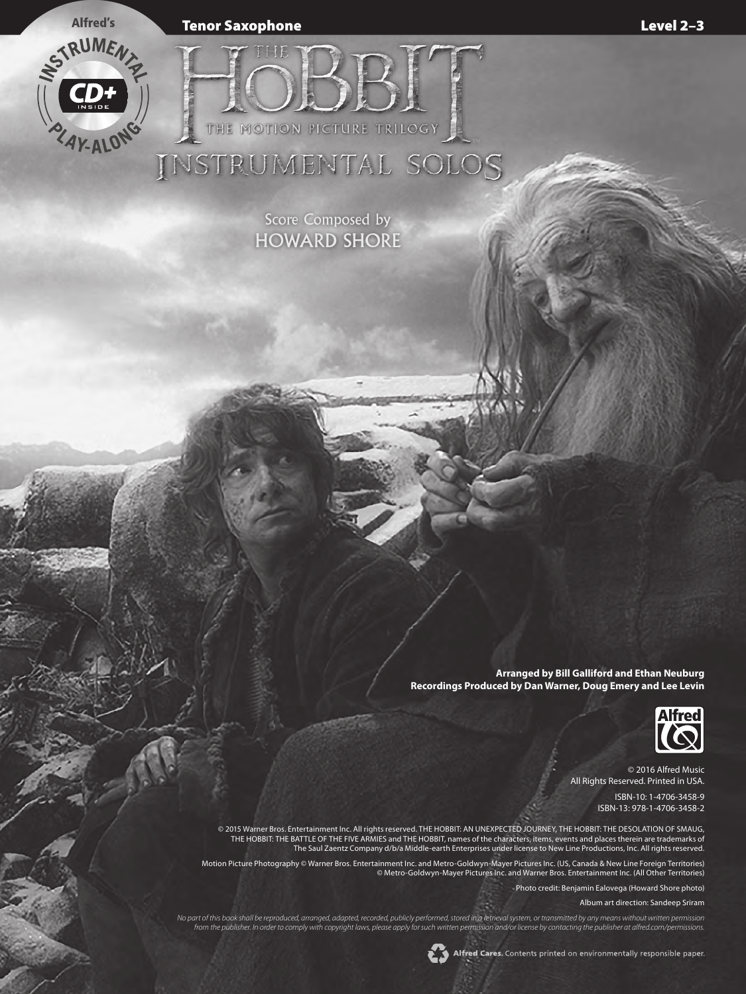Tenor Saxophone Level 2–3



Score Composed by HOWARD SHORE

THE MOTION PICTURE TRILOGY

INSTRUMENTAL SOLOS

**Arranged by Bill Galliford and Ethan Neuburg Recordings Produced by Dan Warner, Doug Emery and Lee Levin**



© 2016 Alfred Music All Rights Reserved. Printed in USA.

> ISBN-10: 1-4706-3458-9 ISBN-13: 978-1-4706-3458-2

© 2015 Warner Bros. Entertainment Inc. All rights reserved. THE HOBBIT: AN UNEXPECTED JOURNEY, THE HOBBIT: THE DESOLATION OF SMAUG, THE HOBBIT: THE BATTLE OF THE FIVE ARMIES and THE HOBBIT, names of the characters, items, events and places therein are trademarks of The Saul Zaentz Company d/b/a Middle-earth Enterprises under license to New Line Productions, Inc. All rights reserved.

Motion Picture Photography © Warner Bros. Entertainment Inc. and Metro-Goldwyn-Mayer Pictures Inc. (US, Canada & New Line Foreign Territories) © Metro-Goldwyn-Mayer Pictures Inc. and Warner Bros. Entertainment Inc. (All Other Territories)

Photo credit: Benjamin Ealovega (Howard Shore photo)

Album art direction: Sandeep Sriram

*No part of this book shall be reproduced, arranged, adapted, recorded, publicly performed, stored in a retrieval system, or transmitted by any means without written permission from the publisher. In order to comply with copyright laws, please apply for such written permission and/or license by contacting the publisher at alfred.com/permissions.*

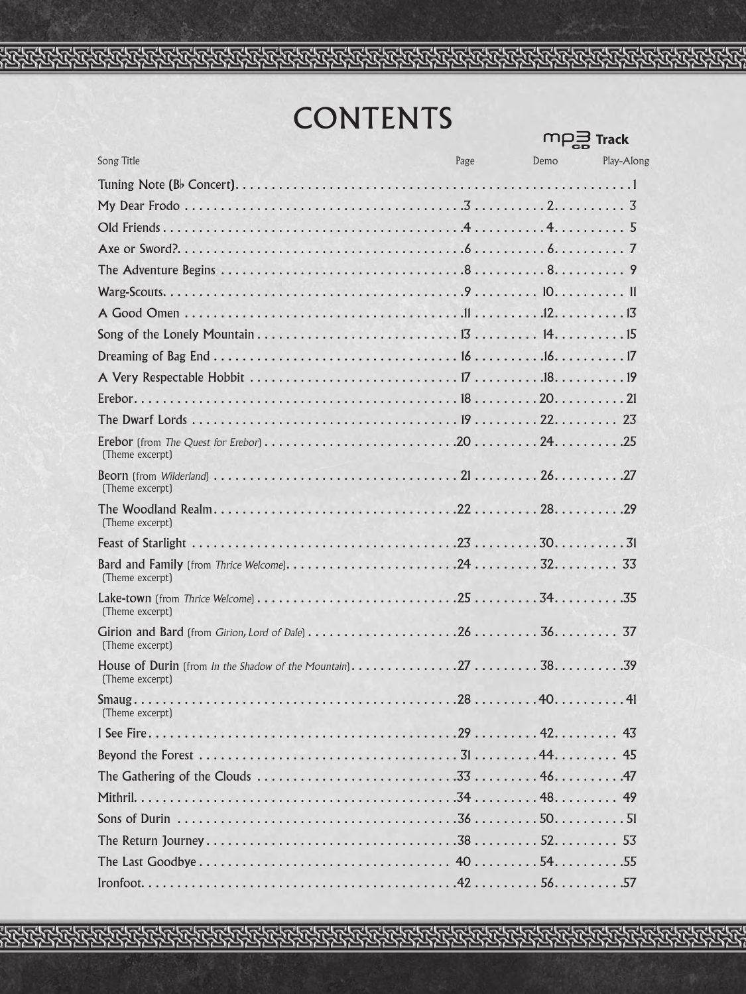## **CONTENTS**

**Track** 

| Song Title                                                                                                                                                    | Page | Demo | Play-Along |
|---------------------------------------------------------------------------------------------------------------------------------------------------------------|------|------|------------|
|                                                                                                                                                               |      |      |            |
|                                                                                                                                                               |      |      |            |
|                                                                                                                                                               |      |      |            |
|                                                                                                                                                               |      |      |            |
|                                                                                                                                                               |      |      |            |
|                                                                                                                                                               |      |      |            |
|                                                                                                                                                               |      |      |            |
|                                                                                                                                                               |      |      |            |
|                                                                                                                                                               |      |      |            |
|                                                                                                                                                               |      |      |            |
|                                                                                                                                                               |      |      |            |
|                                                                                                                                                               |      |      |            |
| (Theme excerpt)                                                                                                                                               |      |      |            |
| (Theme excerpt)                                                                                                                                               |      |      |            |
| (Theme excerpt)                                                                                                                                               |      |      |            |
|                                                                                                                                                               |      |      |            |
| (Theme excerpt)                                                                                                                                               |      |      |            |
| (Theme excerpt)                                                                                                                                               |      |      |            |
| Girion and Bard (from Girion, Lord of Dale) $\dots \dots \dots \dots \dots \dots \dots 26 \dots \dots \dots 36 \dots \dots \dots \dots 37$<br>(Theme excerpt) |      |      |            |
| (Theme excerpt)                                                                                                                                               |      |      |            |
| (Theme excerpt)                                                                                                                                               |      |      |            |
|                                                                                                                                                               |      |      |            |
|                                                                                                                                                               |      |      |            |
|                                                                                                                                                               |      |      |            |
|                                                                                                                                                               |      |      |            |
|                                                                                                                                                               |      |      |            |
|                                                                                                                                                               |      |      |            |
|                                                                                                                                                               |      |      |            |
|                                                                                                                                                               |      |      |            |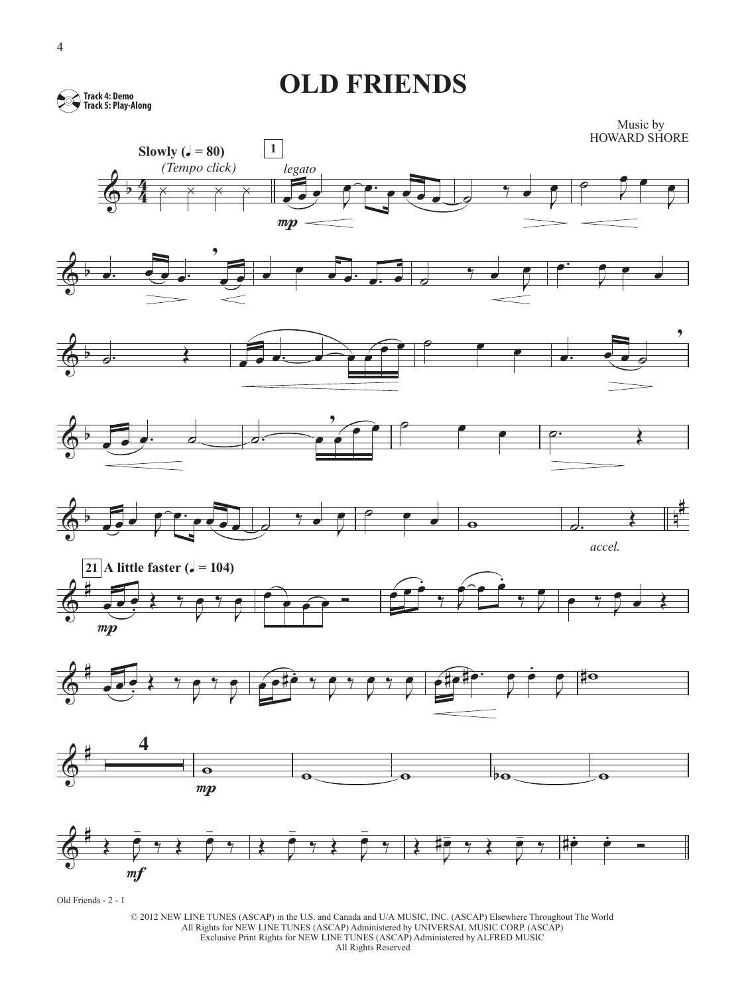**OLD FRIENDS** 

**Track 4: Demo Track 5: Play-Along**





















Old Friends - 2 - 1

© 2012 NEW LINE TUNES (ASCAP) in the U.S. and Canada and U/A MUSIC, INC. (ASCAP) Elsewhere Throughout The World All Rights for NEW LINE TUNES (ASCAP) Administered by UNIVERSAL MUSIC CORP. (ASCAP) Exclusive Print Rights for NEW LINE TUNES (ASCAP) Administered by ALFRED MUSIC All Rights Reserved